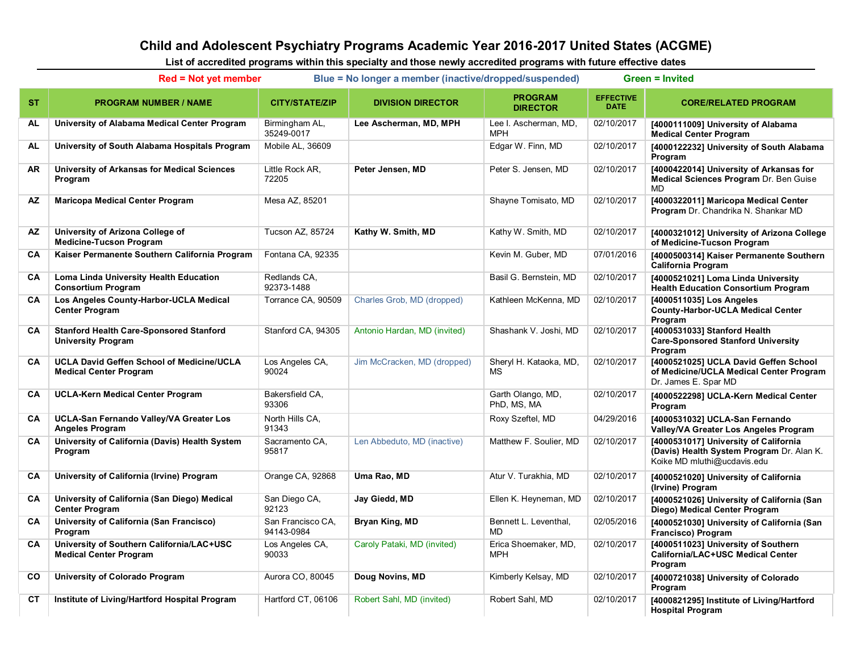## **Child and Adolescent Psychiatry Programs Academic Year 2016-2017 United States (ACGME)**

**List of accredited programs within this specialty and those newly accredited programs with future effective dates**

|           | $Red = Not$ yet member                                                            |                                 | Blue = No longer a member (inactive/dropped/suspended) | <b>Green = Invited</b>              |                                 |                                                                                                                   |
|-----------|-----------------------------------------------------------------------------------|---------------------------------|--------------------------------------------------------|-------------------------------------|---------------------------------|-------------------------------------------------------------------------------------------------------------------|
| ST.       | <b>PROGRAM NUMBER / NAME</b>                                                      | <b>CITY/STATE/ZIP</b>           | <b>DIVISION DIRECTOR</b>                               | <b>PROGRAM</b><br><b>DIRECTOR</b>   | <b>EFFECTIVE</b><br><b>DATE</b> | <b>CORE/RELATED PROGRAM</b>                                                                                       |
| AL        | University of Alabama Medical Center Program                                      | Birmingham AL,<br>35249-0017    | Lee Ascherman, MD, MPH                                 | Lee I. Ascherman, MD,<br><b>MPH</b> | 02/10/2017                      | [4000111009] University of Alabama<br><b>Medical Center Program</b>                                               |
| AL        | University of South Alabama Hospitals Program                                     | Mobile AL, 36609                |                                                        | Edgar W. Finn, MD                   | 02/10/2017                      | [4000122232] University of South Alabama<br>Program                                                               |
| AR        | University of Arkansas for Medical Sciences<br>Program                            | Little Rock AR,<br>72205        | Peter Jensen, MD                                       | Peter S. Jensen, MD                 | 02/10/2017                      | [4000422014] University of Arkansas for<br>Medical Sciences Program Dr. Ben Guise<br><b>MD</b>                    |
| <b>AZ</b> | <b>Maricopa Medical Center Program</b>                                            | Mesa AZ, 85201                  |                                                        | Shayne Tomisato, MD                 | 02/10/2017                      | [4000322011] Maricopa Medical Center<br>Program Dr. Chandrika N. Shankar MD                                       |
| ΑZ        | University of Arizona College of<br><b>Medicine-Tucson Program</b>                | <b>Tucson AZ, 85724</b>         | Kathy W. Smith, MD                                     | Kathy W. Smith, MD                  | 02/10/2017                      | [4000321012] University of Arizona College<br>of Medicine-Tucson Program                                          |
| <b>CA</b> | Kaiser Permanente Southern California Program                                     | Fontana CA, 92335               |                                                        | Kevin M. Guber, MD                  | 07/01/2016                      | [4000500314] Kaiser Permanente Southern<br><b>California Program</b>                                              |
| <b>CA</b> | Loma Linda University Health Education<br><b>Consortium Program</b>               | Redlands CA,<br>92373-1488      |                                                        | Basil G. Bernstein, MD              | 02/10/2017                      | [4000521021] Loma Linda University<br><b>Health Education Consortium Program</b>                                  |
| <b>CA</b> | Los Angeles County-Harbor-UCLA Medical<br><b>Center Program</b>                   | Torrance CA, 90509              | Charles Grob, MD (dropped)                             | Kathleen McKenna, MD                | 02/10/2017                      | [4000511035] Los Angeles<br><b>County-Harbor-UCLA Medical Center</b><br>Program                                   |
| CA        | <b>Stanford Health Care-Sponsored Stanford</b><br><b>University Program</b>       | Stanford CA, 94305              | Antonio Hardan, MD (invited)                           | Shashank V. Joshi, MD               | 02/10/2017                      | [4000531033] Stanford Health<br><b>Care-Sponsored Stanford University</b><br>Program                              |
| <b>CA</b> | <b>UCLA David Geffen School of Medicine/UCLA</b><br><b>Medical Center Program</b> | Los Angeles CA,<br>90024        | Jim McCracken, MD (dropped)                            | Sheryl H. Kataoka, MD,<br><b>MS</b> | 02/10/2017                      | [4000521025] UCLA David Geffen School<br>of Medicine/UCLA Medical Center Program<br>Dr. James E. Spar MD          |
| CA        | <b>UCLA-Kern Medical Center Program</b>                                           | Bakersfield CA,<br>93306        |                                                        | Garth Olango, MD,<br>PhD, MS, MA    | 02/10/2017                      | [4000522298] UCLA-Kern Medical Center<br>Program                                                                  |
| CA        | UCLA-San Fernando Valley/VA Greater Los<br><b>Angeles Program</b>                 | North Hills CA,<br>91343        |                                                        | Roxy Szeftel, MD                    | 04/29/2016                      | [4000531032] UCLA-San Fernando<br>Valley/VA Greater Los Angeles Program                                           |
| CA        | University of California (Davis) Health System<br>Program                         | Sacramento CA,<br>95817         | Len Abbeduto, MD (inactive)                            | Matthew F. Soulier, MD              | 02/10/2017                      | [4000531017] University of California<br>(Davis) Health System Program Dr. Alan K.<br>Koike MD mluthi@ucdavis.edu |
| <b>CA</b> | University of California (Irvine) Program                                         | Orange CA, 92868                | Uma Rao, MD                                            | Atur V. Turakhia, MD                | 02/10/2017                      | [4000521020] University of California<br>(Irvine) Program                                                         |
| <b>CA</b> | University of California (San Diego) Medical<br><b>Center Program</b>             | San Diego CA,<br>92123          | Jay Giedd, MD                                          | Ellen K. Heyneman, MD               | 02/10/2017                      | [4000521026] University of California (San<br>Diego) Medical Center Program                                       |
| <b>CA</b> | University of California (San Francisco)<br>Program                               | San Francisco CA,<br>94143-0984 | Bryan King, MD                                         | Bennett L. Leventhal,<br><b>MD</b>  | 02/05/2016                      | [4000521030] University of California (San<br>Francisco) Program                                                  |
| CA        | University of Southern California/LAC+USC<br><b>Medical Center Program</b>        | Los Angeles CA,<br>90033        | Caroly Pataki, MD (invited)                            | Erica Shoemaker, MD,<br><b>MPH</b>  | 02/10/2017                      | [4000511023] University of Southern<br>California/LAC+USC Medical Center<br>Program                               |
| CO        | University of Colorado Program                                                    | Aurora CO, 80045                | Doug Novins, MD                                        | Kimberly Kelsay, MD                 | 02/10/2017                      | [4000721038] University of Colorado<br>Program                                                                    |
| СT        | Institute of Living/Hartford Hospital Program                                     | Hartford CT, 06106              | Robert Sahl, MD (invited)                              | Robert Sahl, MD                     | 02/10/2017                      | [4000821295] Institute of Living/Hartford<br><b>Hospital Program</b>                                              |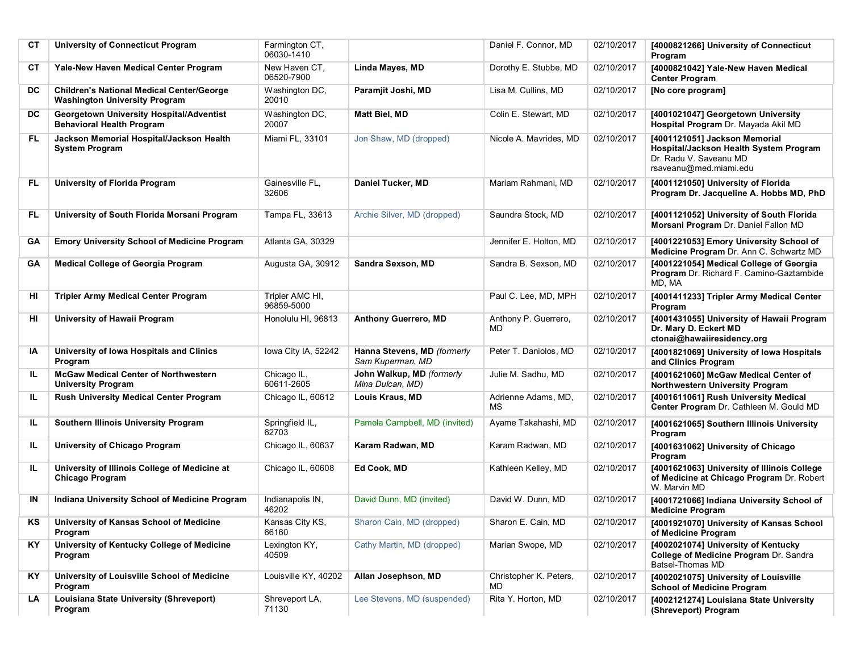| СT  | <b>University of Connecticut Program</b>                                                 | Farmington CT,<br>06030-1410  |                                                 | Daniel F. Connor, MD          | 02/10/2017 | [4000821266] University of Connecticut<br>Program                                                                           |
|-----|------------------------------------------------------------------------------------------|-------------------------------|-------------------------------------------------|-------------------------------|------------|-----------------------------------------------------------------------------------------------------------------------------|
| СT  | Yale-New Haven Medical Center Program                                                    | New Haven CT,<br>06520-7900   | Linda Mayes, MD                                 | Dorothy E. Stubbe, MD         | 02/10/2017 | [4000821042] Yale-New Haven Medical<br><b>Center Program</b>                                                                |
| DC  | <b>Children's National Medical Center/George</b><br><b>Washington University Program</b> | Washington DC,<br>20010       | Paramjit Joshi, MD                              | Lisa M. Cullins, MD           | 02/10/2017 | [No core program]                                                                                                           |
| DC  | Georgetown University Hospital/Adventist<br><b>Behavioral Health Program</b>             | Washington DC,<br>20007       | <b>Matt Biel, MD</b>                            | Colin E. Stewart. MD          | 02/10/2017 | [4001021047] Georgetown University<br>Hospital Program Dr. Mayada Akil MD                                                   |
| FL. | Jackson Memorial Hospital/Jackson Health<br><b>System Program</b>                        | Miami FL, 33101               | Jon Shaw, MD (dropped)                          | Nicole A. Mavrides, MD        | 02/10/2017 | [4001121051] Jackson Memorial<br>Hospital/Jackson Health System Program<br>Dr. Radu V. Saveanu MD<br>rsaveanu@med.miami.edu |
| FL  | <b>University of Florida Program</b>                                                     | Gainesville FL,<br>32606      | Daniel Tucker, MD                               | Mariam Rahmani, MD            | 02/10/2017 | [4001121050] University of Florida<br>Program Dr. Jacqueline A. Hobbs MD, PhD                                               |
| FL  | University of South Florida Morsani Program                                              | Tampa FL, 33613               | Archie Silver, MD (dropped)                     | Saundra Stock, MD             | 02/10/2017 | [4001121052] University of South Florida<br>Morsani Program Dr. Daniel Fallon MD                                            |
| GA  | <b>Emory University School of Medicine Program</b>                                       | Atlanta GA, 30329             |                                                 | Jennifer E. Holton, MD        | 02/10/2017 | [4001221053] Emory University School of<br>Medicine Program Dr. Ann C. Schwartz MD                                          |
| GA  | <b>Medical College of Georgia Program</b>                                                | Augusta GA, 30912             | Sandra Sexson, MD                               | Sandra B. Sexson, MD          | 02/10/2017 | [4001221054] Medical College of Georgia<br>Program Dr. Richard F. Camino-Gaztambide<br>MD, MA                               |
| HI  | <b>Tripler Army Medical Center Program</b>                                               | Tripler AMC HI,<br>96859-5000 |                                                 | Paul C. Lee, MD. MPH          | 02/10/2017 | [4001411233] Tripler Army Medical Center<br>Program                                                                         |
| HI  | University of Hawaii Program                                                             | Honolulu HI, 96813            | <b>Anthony Guerrero, MD</b>                     | Anthony P. Guerrero,<br>MD.   | 02/10/2017 | [4001431055] University of Hawaii Program<br>Dr. Mary D. Eckert MD<br>ctonai@hawaiiresidency.org                            |
| ΙA  | University of Iowa Hospitals and Clinics<br>Program                                      | Iowa City IA, 52242           | Hanna Stevens, MD (formerly<br>Sam Kuperman, MD | Peter T. Daniolos, MD         | 02/10/2017 | [4001821069] University of Iowa Hospitals<br>and Clinics Program                                                            |
| IL. | <b>McGaw Medical Center of Northwestern</b><br><b>University Program</b>                 | Chicago IL,<br>60611-2605     | John Walkup, MD (formerly<br>Mina Dulcan, MD)   | Julie M. Sadhu, MD            | 02/10/2017 | [4001621060] McGaw Medical Center of<br>Northwestern University Program                                                     |
| IL. | <b>Rush University Medical Center Program</b>                                            | Chicago IL, 60612             | Louis Kraus, MD                                 | Adrienne Adams, MD,<br>МS     | 02/10/2017 | [4001611061] Rush University Medical<br>Center Program Dr. Cathleen M. Gould MD                                             |
| IL. | Southern Illinois University Program                                                     | Springfield IL,<br>62703      | Pamela Campbell, MD (invited)                   | Ayame Takahashi, MD           | 02/10/2017 | [4001621065] Southern Illinois University<br>Program                                                                        |
| IL. | University of Chicago Program                                                            | Chicago IL, 60637             | Karam Radwan, MD                                | Karam Radwan, MD              | 02/10/2017 | [4001631062] University of Chicago<br>Program                                                                               |
| IL. | University of Illinois College of Medicine at<br>Chicago Program                         | Chicago IL, 60608             | Ed Cook, MD                                     | Kathleen Kelley, MD           | 02/10/2017 | [4001621063] University of Illinois College<br>of Medicine at Chicago Program Dr. Robert<br>W. Marvin MD                    |
| IN  | Indiana University School of Medicine Program                                            | Indianapolis IN,<br>46202     | David Dunn, MD (invited)                        | David W. Dunn, MD             | 02/10/2017 | [4001721066] Indiana University School of<br><b>Medicine Program</b>                                                        |
| KS  | University of Kansas School of Medicine<br>Program                                       | Kansas City KS,<br>66160      | Sharon Cain, MD (dropped)                       | Sharon E. Cain, MD            | 02/10/2017 | [4001921070] University of Kansas School<br>of Medicine Program                                                             |
| KY. | University of Kentucky College of Medicine<br>Program                                    | Lexington KY,<br>40509        | Cathy Martin, MD (dropped)                      | Marian Swope, MD              | 02/10/2017 | [4002021074] University of Kentucky<br>College of Medicine Program Dr. Sandra<br>Batsel-Thomas MD                           |
| KY. | University of Louisville School of Medicine<br>Program                                   | Louisville KY, 40202          | Allan Josephson, MD                             | Christopher K. Peters,<br>MD. | 02/10/2017 | [4002021075] University of Louisville<br><b>School of Medicine Program</b>                                                  |
| LA  | Louisiana State University (Shreveport)<br>Program                                       | Shreveport LA,<br>71130       | Lee Stevens, MD (suspended)                     | Rita Y. Horton, MD            | 02/10/2017 | [4002121274] Louisiana State University<br>(Shreveport) Program                                                             |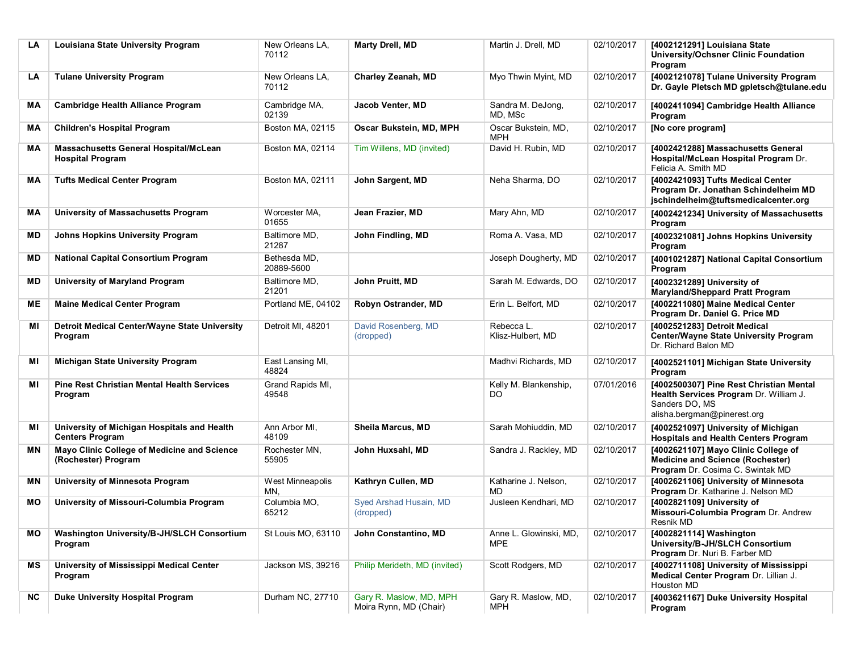| LA  | Louisiana State University Program                                      | New Orleans LA,<br>70112   | Marty Drell, MD                                   | Martin J. Drell. MD                  | 02/10/2017 | [4002121291] Louisiana State<br>University/Ochsner Clinic Foundation<br>Program                                                    |
|-----|-------------------------------------------------------------------------|----------------------------|---------------------------------------------------|--------------------------------------|------------|------------------------------------------------------------------------------------------------------------------------------------|
| LA  | <b>Tulane University Program</b>                                        | New Orleans LA,<br>70112   | Charley Zeanah, MD                                | Myo Thwin Myint, MD                  | 02/10/2017 | [4002121078] Tulane University Program<br>Dr. Gayle Pletsch MD gpletsch@tulane.edu                                                 |
| MА  | <b>Cambridge Health Alliance Program</b>                                | Cambridge MA,<br>02139     | Jacob Venter, MD                                  | Sandra M. DeJong,<br>MD, MSc         | 02/10/2017 | [4002411094] Cambridge Health Alliance<br>Program                                                                                  |
| MА  | <b>Children's Hospital Program</b>                                      | Boston MA, 02115           | Oscar Bukstein, MD, MPH                           | Oscar Bukstein, MD,<br><b>MPH</b>    | 02/10/2017 | [No core program]                                                                                                                  |
| MA  | <b>Massachusetts General Hospital/McLean</b><br><b>Hospital Program</b> | Boston MA, 02114           | Tim Willens, MD (invited)                         | David H. Rubin, MD                   | 02/10/2017 | [4002421288] Massachusetts General<br>Hospital/McLean Hospital Program Dr.<br>Felicia A. Smith MD                                  |
| МA  | <b>Tufts Medical Center Program</b>                                     | Boston MA, 02111           | John Sargent, MD                                  | Neha Sharma, DO                      | 02/10/2017 | [4002421093] Tufts Medical Center<br>Program Dr. Jonathan Schindelheim MD<br>jschindelheim@tuftsmedicalcenter.org                  |
| MА  | University of Massachusetts Program                                     | Worcester MA,<br>01655     | Jean Frazier, MD                                  | Mary Ahn, MD                         | 02/10/2017 | [4002421234] University of Massachusetts<br>Program                                                                                |
| ΜD  | <b>Johns Hopkins University Program</b>                                 | Baltimore MD,<br>21287     | John Findling, MD                                 | Roma A. Vasa, MD                     | 02/10/2017 | [4002321081] Johns Hopkins University<br>Program                                                                                   |
| MD  | <b>National Capital Consortium Program</b>                              | Bethesda MD.<br>20889-5600 |                                                   | Joseph Dougherty, MD                 | 02/10/2017 | [4001021287] National Capital Consortium<br>Program                                                                                |
| ΜD  | University of Maryland Program                                          | Baltimore MD,<br>21201     | John Pruitt, MD                                   | Sarah M. Edwards, DO                 | 02/10/2017 | [4002321289] University of<br><b>Maryland/Sheppard Pratt Program</b>                                                               |
| MЕ  | <b>Maine Medical Center Program</b>                                     | Portland ME, 04102         | Robyn Ostrander, MD                               | Erin L. Belfort, MD                  | 02/10/2017 | [4002211080] Maine Medical Center<br>Program Dr. Daniel G. Price MD                                                                |
| ΜI  | Detroit Medical Center/Wayne State University<br>Program                | Detroit MI, 48201          | David Rosenberg, MD<br>(dropped)                  | Rebecca L.<br>Klisz-Hulbert, MD      | 02/10/2017 | [4002521283] Detroit Medical<br>Center/Wayne State University Program<br>Dr. Richard Balon MD                                      |
| MI  | <b>Michigan State University Program</b>                                | East Lansing MI,<br>48824  |                                                   | Madhvi Richards, MD                  | 02/10/2017 | [4002521101] Michigan State University<br>Program                                                                                  |
| ΜI  | <b>Pine Rest Christian Mental Health Services</b><br>Program            | Grand Rapids MI,<br>49548  |                                                   | Kelly M. Blankenship,<br>DO          | 07/01/2016 | [4002500307] Pine Rest Christian Mental<br>Health Services Program Dr. William J.<br>Sanders DO, MS<br>alisha.bergman@pinerest.org |
| МI  | University of Michigan Hospitals and Health<br><b>Centers Program</b>   | Ann Arbor MI,<br>48109     | Sheila Marcus, MD                                 | Sarah Mohiuddin, MD                  | 02/10/2017 | [4002521097] University of Michigan<br><b>Hospitals and Health Centers Program</b>                                                 |
| ΜN  | Mayo Clinic College of Medicine and Science<br>(Rochester) Program      | Rochester MN,<br>55905     | John Huxsahl, MD                                  | Sandra J. Rackley, MD                | 02/10/2017 | [4002621107] Mayo Clinic College of<br><b>Medicine and Science (Rochester)</b><br>Program Dr. Cosima C. Swintak MD                 |
| ΜN  | University of Minnesota Program                                         | West Minneapolis<br>MN,    | Kathryn Cullen, MD                                | Katharine J. Nelson,<br>MD           | 02/10/2017 | [4002621106] University of Minnesota<br>Program Dr. Katharine J. Nelson MD                                                         |
| MО  | University of Missouri-Columbia Program                                 | Columbia MO,<br>65212      | Syed Arshad Husain, MD<br>(dropped)               | Jusleen Kendhari, MD                 | 02/10/2017 | [4002821109] University of<br>Missouri-Columbia Program Dr. Andrew<br>Resnik MD                                                    |
| MО  | Washington University/B-JH/SLCH Consortium<br>Program                   | St Louis MO, 63110         | John Constantino, MD                              | Anne L. Glowinski, MD,<br><b>MPE</b> | 02/10/2017 | [4002821114] Washington<br>University/B-JH/SLCH Consortium<br>Program Dr. Nuri B. Farber MD                                        |
| ΜS  | University of Mississippi Medical Center<br>Program                     | Jackson MS, 39216          | Philip Merideth, MD (invited)                     | Scott Rodgers, MD                    | 02/10/2017 | [4002711108] University of Mississippi<br>Medical Center Program Dr. Lillian J.<br>Houston MD                                      |
| NC. | <b>Duke University Hospital Program</b>                                 | Durham NC, 27710           | Gary R. Maslow, MD, MPH<br>Moira Rynn, MD (Chair) | Gary R. Maslow, MD,<br><b>MPH</b>    | 02/10/2017 | [4003621167] Duke University Hospital<br>Program                                                                                   |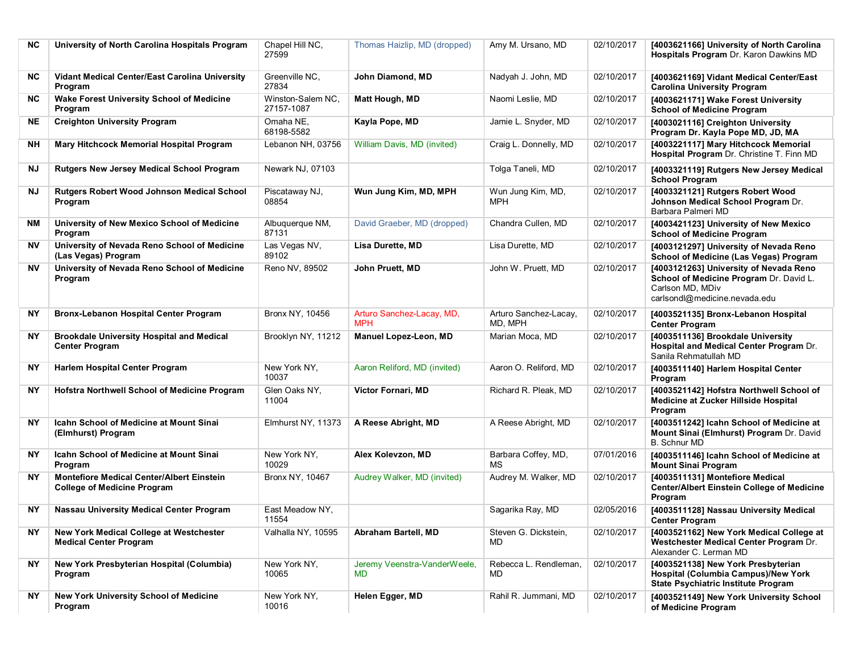| <b>NC</b> | University of North Carolina Hospitals Program                                         | Chapel Hill NC,<br>27599        | Thomas Haizlip, MD (dropped)            | Amy M. Ursano, MD                | 02/10/2017 | [4003621166] University of North Carolina<br>Hospitals Program Dr. Karon Dawkins MD                                                    |
|-----------|----------------------------------------------------------------------------------------|---------------------------------|-----------------------------------------|----------------------------------|------------|----------------------------------------------------------------------------------------------------------------------------------------|
| NC.       | Vidant Medical Center/East Carolina University<br>Program                              | Greenville NC,<br>27834         | John Diamond, MD                        | Nadyah J. John, MD               | 02/10/2017 | [4003621169] Vidant Medical Center/East<br><b>Carolina University Program</b>                                                          |
| NC.       | <b>Wake Forest University School of Medicine</b><br>Program                            | Winston-Salem NC,<br>27157-1087 | Matt Hough, MD                          | Naomi Leslie, MD                 | 02/10/2017 | [4003621171] Wake Forest University<br><b>School of Medicine Program</b>                                                               |
| NE.       | <b>Creighton University Program</b>                                                    | Omaha NE,<br>68198-5582         | Kayla Pope, MD                          | Jamie L. Snyder, MD              | 02/10/2017 | [4003021116] Creighton University<br>Program Dr. Kayla Pope MD, JD, MA                                                                 |
| NH        | Mary Hitchcock Memorial Hospital Program                                               | Lebanon NH, 03756               | William Davis, MD (invited)             | Craig L. Donnelly, MD            | 02/10/2017 | [4003221117] Mary Hitchcock Memorial<br>Hospital Program Dr. Christine T. Finn MD                                                      |
| ΝJ        | <b>Rutgers New Jersey Medical School Program</b>                                       | Newark NJ, 07103                |                                         | Tolga Taneli, MD                 | 02/10/2017 | [4003321119] Rutgers New Jersey Medical<br><b>School Program</b>                                                                       |
| ΝJ        | <b>Rutgers Robert Wood Johnson Medical School</b><br>Program                           | Piscataway NJ,<br>08854         | Wun Jung Kim, MD, MPH                   | Wun Jung Kim, MD,<br>MPH         | 02/10/2017 | [4003321121] Rutgers Robert Wood<br>Johnson Medical School Program Dr.<br>Barbara Palmeri MD                                           |
| NM        | University of New Mexico School of Medicine<br>Program                                 | Albuquerque NM,<br>87131        | David Graeber, MD (dropped)             | Chandra Cullen, MD               | 02/10/2017 | [4003421123] University of New Mexico<br><b>School of Medicine Program</b>                                                             |
| NV.       | University of Nevada Reno School of Medicine<br>(Las Vegas) Program                    | Las Vegas NV,<br>89102          | Lisa Durette, MD                        | Lisa Durette, MD                 | 02/10/2017 | [4003121297] University of Nevada Reno<br>School of Medicine (Las Vegas) Program                                                       |
| NV        | University of Nevada Reno School of Medicine<br>Program                                | Reno NV, 89502                  | John Pruett, MD                         | John W. Pruett, MD               | 02/10/2017 | [4003121263] University of Nevada Reno<br>School of Medicine Program Dr. David L.<br>Carlson MD, MDiv<br>carlsondl@medicine.nevada.edu |
| NY        | <b>Bronx-Lebanon Hospital Center Program</b>                                           | <b>Bronx NY. 10456</b>          | Arturo Sanchez-Lacay, MD,<br><b>MPH</b> | Arturo Sanchez-Lacay,<br>MD, MPH | 02/10/2017 | [4003521135] Bronx-Lebanon Hospital<br><b>Center Program</b>                                                                           |
| NY        | <b>Brookdale University Hospital and Medical</b><br><b>Center Program</b>              | Brooklyn NY, 11212              | Manuel Lopez-Leon, MD                   | Marian Moca, MD                  | 02/10/2017 | [4003511136] Brookdale University<br>Hospital and Medical Center Program Dr.<br>Sanila Rehmatullah MD                                  |
| ΝY        | Harlem Hospital Center Program                                                         | New York NY,<br>10037           | Aaron Reliford, MD (invited)            | Aaron O. Reliford, MD            | 02/10/2017 | [4003511140] Harlem Hospital Center<br>Program                                                                                         |
| <b>NY</b> | Hofstra Northwell School of Medicine Program                                           | Glen Oaks NY,<br>11004          | Victor Fornari, MD                      | Richard R. Pleak, MD             | 02/10/2017 | [4003521142] Hofstra Northwell School of<br>Medicine at Zucker Hillside Hospital<br>Program                                            |
| <b>NY</b> | <b>Icahn School of Medicine at Mount Sinai</b><br>(Elmhurst) Program                   | Elmhurst NY, 11373              | A Reese Abright, MD                     | A Reese Abright, MD              | 02/10/2017 | [4003511242] Icahn School of Medicine at<br>Mount Sinai (Elmhurst) Program Dr. David<br><b>B.</b> Schnur MD                            |
| <b>NY</b> | <b>Icahn School of Medicine at Mount Sinai</b><br>Program                              | New York NY,<br>10029           | Alex Kolevzon, MD                       | Barbara Coffey, MD,<br>МS        | 07/01/2016 | [4003511146] Icahn School of Medicine at<br><b>Mount Sinai Program</b>                                                                 |
| <b>NY</b> | <b>Montefiore Medical Center/Albert Einstein</b><br><b>College of Medicine Program</b> | Bronx NY, 10467                 | Audrey Walker, MD (invited)             | Audrey M. Walker, MD             | 02/10/2017 | [4003511131] Montefiore Medical<br><b>Center/Albert Einstein College of Medicine</b><br>Program                                        |
| <b>NY</b> | Nassau University Medical Center Program                                               | East Meadow NY,<br>11554        |                                         | Sagarika Ray, MD                 | 02/05/2016 | [4003511128] Nassau University Medical<br><b>Center Program</b>                                                                        |
| NY        | New York Medical College at Westchester<br><b>Medical Center Program</b>               | Valhalla NY, 10595              | Abraham Bartell, MD                     | Steven G. Dickstein,<br>MD       | 02/10/2017 | [4003521162] New York Medical College at<br>Westchester Medical Center Program Dr.<br>Alexander C. Lerman MD                           |
| NΥ        | New York Presbyterian Hospital (Columbia)<br>Program                                   | New York NY,<br>10065           | Jeremy Veenstra-VanderWeele,<br>MD      | Rebecca L. Rendleman,<br>MD.     | 02/10/2017 | [4003521138] New York Presbyterian<br>Hospital (Columbia Campus)/New York<br><b>State Psychiatric Institute Program</b>                |
| <b>NY</b> | <b>New York University School of Medicine</b><br>Program                               | New York NY,<br>10016           | Helen Egger, MD                         | Rahil R. Jummani, MD             | 02/10/2017 | [4003521149] New York University School<br>of Medicine Program                                                                         |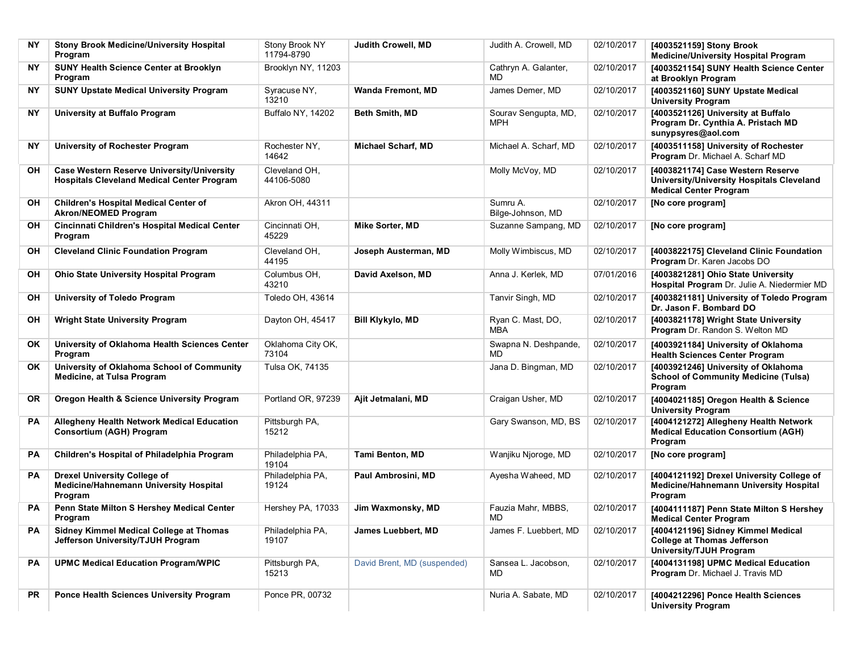| NΥ        | <b>Stony Brook Medicine/University Hospital</b><br>Program                                             | Stony Brook NY<br>11794-8790 | Judith Crowell, MD          | Judith A. Crowell, MD         | 02/10/2017 | [4003521159] Stony Brook<br><b>Medicine/University Hospital Program</b>                                         |
|-----------|--------------------------------------------------------------------------------------------------------|------------------------------|-----------------------------|-------------------------------|------------|-----------------------------------------------------------------------------------------------------------------|
| NY.       | SUNY Health Science Center at Brooklyn<br>Program                                                      | Brooklyn NY, 11203           |                             | Cathryn A. Galanter,<br>MD    | 02/10/2017 | [4003521154] SUNY Health Science Center<br>at Brooklyn Program                                                  |
| NΥ        | <b>SUNY Upstate Medical University Program</b>                                                         | Syracuse NY,<br>13210        | <b>Wanda Fremont, MD</b>    | James Demer, MD               | 02/10/2017 | [4003521160] SUNY Upstate Medical<br><b>University Program</b>                                                  |
| NΥ        | University at Buffalo Program                                                                          | Buffalo NY, 14202            | Beth Smith, MD              | Sourav Sengupta, MD,<br>MPH   | 02/10/2017 | [4003521126] University at Buffalo<br>Program Dr. Cynthia A. Pristach MD<br>sunypsyres@aol.com                  |
| NΥ        | University of Rochester Program                                                                        | Rochester NY,<br>14642       | <b>Michael Scharf, MD</b>   | Michael A. Scharf, MD         | 02/10/2017 | [4003511158] University of Rochester<br>Program Dr. Michael A. Scharf MD                                        |
| OН        | <b>Case Western Reserve University/University</b><br><b>Hospitals Cleveland Medical Center Program</b> | Cleveland OH.<br>44106-5080  |                             | Molly McVoy, MD               | 02/10/2017 | [4003821174] Case Western Reserve<br>University/University Hospitals Cleveland<br><b>Medical Center Program</b> |
| OH        | <b>Children's Hospital Medical Center of</b><br><b>Akron/NEOMED Program</b>                            | Akron OH, 44311              |                             | Sumru A.<br>Bilge-Johnson, MD | 02/10/2017 | [No core program]                                                                                               |
| OH        | Cincinnati Children's Hospital Medical Center<br>Program                                               | Cincinnati OH,<br>45229      | Mike Sorter, MD             | Suzanne Sampang, MD           | 02/10/2017 | [No core program]                                                                                               |
| OН        | <b>Cleveland Clinic Foundation Program</b>                                                             | Cleveland OH,<br>44195       | Joseph Austerman, MD        | Molly Wimbiscus, MD           | 02/10/2017 | [4003822175] Cleveland Clinic Foundation<br>Program Dr. Karen Jacobs DO                                         |
| OН        | <b>Ohio State University Hospital Program</b>                                                          | Columbus OH,<br>43210        | David Axelson, MD           | Anna J. Kerlek, MD            | 07/01/2016 | [4003821281] Ohio State University<br>Hospital Program Dr. Julie A. Niedermier MD                               |
| OH        | University of Toledo Program                                                                           | Toledo OH, 43614             |                             | Tanvir Singh, MD              | 02/10/2017 | [4003821181] University of Toledo Program<br>Dr. Jason F. Bombard DO                                            |
| OН        | <b>Wright State University Program</b>                                                                 | Dayton OH, 45417             | <b>Bill Klykylo, MD</b>     | Ryan C. Mast, DO,<br>MBA      | 02/10/2017 | [4003821178] Wright State University<br>Program Dr. Randon S. Welton MD                                         |
| <b>OK</b> | University of Oklahoma Health Sciences Center<br>Program                                               | Oklahoma City OK,<br>73104   |                             | Swapna N. Deshpande,<br>MD    | 02/10/2017 | [4003921184] University of Oklahoma<br><b>Health Sciences Center Program</b>                                    |
| OK.       | University of Oklahoma School of Community<br><b>Medicine, at Tulsa Program</b>                        | Tulsa OK, 74135              |                             | Jana D. Bingman, MD           | 02/10/2017 | [4003921246] University of Oklahoma<br><b>School of Community Medicine (Tulsa)</b><br>Program                   |
| <b>OR</b> | Oregon Health & Science University Program                                                             | Portland OR, 97239           | Ajit Jetmalani, MD          | Craigan Usher, MD             | 02/10/2017 | [4004021185] Oregon Health & Science<br><b>University Program</b>                                               |
| РA        | Allegheny Health Network Medical Education<br>Consortium (AGH) Program                                 | Pittsburgh PA,<br>15212      |                             | Gary Swanson, MD, BS          | 02/10/2017 | [4004121272] Allegheny Health Network<br><b>Medical Education Consortium (AGH)</b><br>Program                   |
| РA        | Children's Hospital of Philadelphia Program                                                            | Philadelphia PA.<br>19104    | Tami Benton, MD             | Wanjiku Njoroge, MD           | 02/10/2017 | [No core program]                                                                                               |
| РA        | <b>Drexel University College of</b><br>Medicine/Hahnemann University Hospital<br>Program               | Philadelphia PA,<br>19124    | Paul Ambrosini, MD          | Ayesha Waheed, MD             | 02/10/2017 | [4004121192] Drexel University College of<br>Medicine/Hahnemann University Hospital<br>Program                  |
| PА        | Penn State Milton S Hershey Medical Center<br>Program                                                  | Hershey PA, 17033            | Jim Waxmonsky, MD           | Fauzia Mahr, MBBS,<br>MD      | 02/10/2017 | [4004111187] Penn State Milton S Hershey<br><b>Medical Center Program</b>                                       |
| PA        | Sidney Kimmel Medical College at Thomas<br>Jefferson University/TJUH Program                           | Philadelphia PA,<br>19107    | James Luebbert, MD          | James F. Luebbert, MD         | 02/10/2017 | [4004121196] Sidney Kimmel Medical<br><b>College at Thomas Jefferson</b><br><b>University/TJUH Program</b>      |
| РA        | <b>UPMC Medical Education Program/WPIC</b>                                                             | Pittsburgh PA,<br>15213      | David Brent, MD (suspended) | Sansea L. Jacobson,<br>MD     | 02/10/2017 | [4004131198] UPMC Medical Education<br>Program Dr. Michael J. Travis MD                                         |
| PR        | <b>Ponce Health Sciences University Program</b>                                                        | Ponce PR, 00732              |                             | Nuria A. Sabate, MD           | 02/10/2017 | [4004212296] Ponce Health Sciences<br><b>University Program</b>                                                 |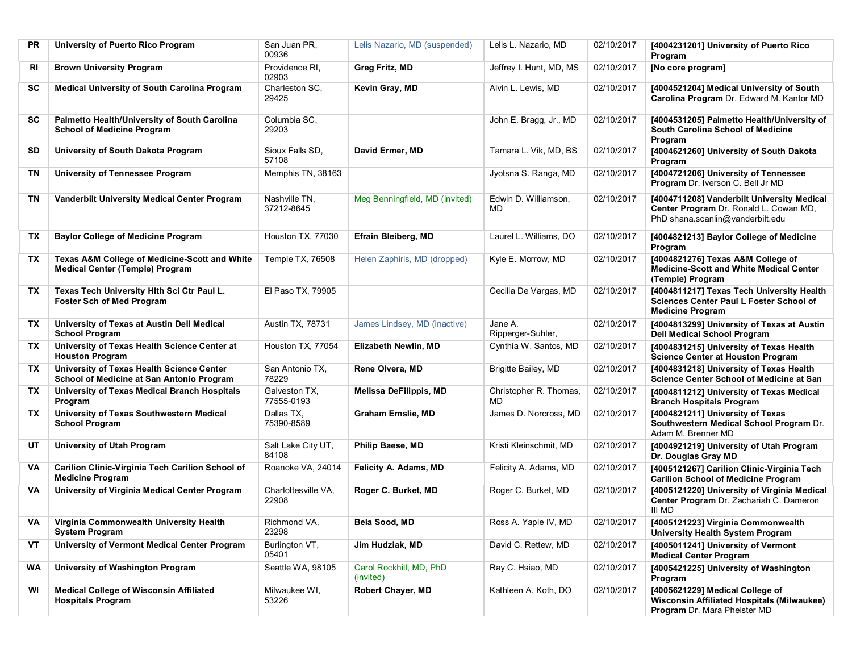| <b>PR</b> | University of Puerto Rico Program                                                                  | San Juan PR.<br>00936        | Lelis Nazario, MD (suspended)        | Lelis L. Nazario, MD         | 02/10/2017 | [4004231201] University of Puerto Rico<br>Program                                                                        |
|-----------|----------------------------------------------------------------------------------------------------|------------------------------|--------------------------------------|------------------------------|------------|--------------------------------------------------------------------------------------------------------------------------|
| RI        | <b>Brown University Program</b>                                                                    | Providence RI,<br>02903      | Greg Fritz, MD                       | Jeffrey I. Hunt, MD, MS      | 02/10/2017 | [No core program]                                                                                                        |
| SC        | <b>Medical University of South Carolina Program</b>                                                | Charleston SC,<br>29425      | Kevin Gray, MD                       | Alvin L. Lewis, MD           | 02/10/2017 | [4004521204] Medical University of South<br>Carolina Program Dr. Edward M. Kantor MD                                     |
| SC        | Palmetto Health/University of South Carolina<br><b>School of Medicine Program</b>                  | Columbia SC.<br>29203        |                                      | John E. Bragg, Jr., MD       | 02/10/2017 | [4004531205] Palmetto Health/University of<br>South Carolina School of Medicine<br>Program                               |
| SD        | University of South Dakota Program                                                                 | Sioux Falls SD,<br>57108     | David Ermer, MD                      | Tamara L. Vik, MD, BS        | 02/10/2017 | [4004621260] University of South Dakota<br>Program                                                                       |
| ΤN        | University of Tennessee Program                                                                    | Memphis TN, 38163            |                                      | Jyotsna S. Ranga, MD         | 02/10/2017 | [4004721206] University of Tennessee<br>Program Dr. Iverson C. Bell Jr MD                                                |
| ΤN        | Vanderbilt University Medical Center Program                                                       | Nashville TN,<br>37212-8645  | Meg Benningfield, MD (invited)       | Edwin D. Williamson,<br>MD   | 02/10/2017 | [4004711208] Vanderbilt University Medical<br>Center Program Dr. Ronald L. Cowan MD,<br>PhD shana.scanlin@vanderbilt.edu |
| TX        | <b>Baylor College of Medicine Program</b>                                                          | Houston TX, 77030            | <b>Efrain Bleiberg, MD</b>           | Laurel L. Williams, DO       | 02/10/2017 | [4004821213] Baylor College of Medicine<br>Program                                                                       |
| TХ        | <b>Texas A&amp;M College of Medicine-Scott and White</b><br><b>Medical Center (Temple) Program</b> | Temple TX, 76508             | Helen Zaphiris, MD (dropped)         | Kyle E. Morrow, MD           | 02/10/2017 | [4004821276] Texas A&M College of<br><b>Medicine-Scott and White Medical Center</b><br>(Temple) Program                  |
| TХ        | Texas Tech University Hith Sci Ctr Paul L.<br><b>Foster Sch of Med Program</b>                     | El Paso TX, 79905            |                                      | Cecilia De Vargas, MD        | 02/10/2017 | [4004811217] Texas Tech University Health<br>Sciences Center Paul L Foster School of<br><b>Medicine Program</b>          |
| TX.       | University of Texas at Austin Dell Medical<br><b>School Program</b>                                | Austin TX, 78731             | James Lindsey, MD (inactive)         | Jane A.<br>Ripperger-Suhler, | 02/10/2017 | [4004813299] University of Texas at Austin<br><b>Dell Medical School Program</b>                                         |
| ТX        | University of Texas Health Science Center at<br><b>Houston Program</b>                             | Houston TX, 77054            | Elizabeth Newlin, MD                 | Cynthia W. Santos, MD        | 02/10/2017 | [4004831215] University of Texas Health<br><b>Science Center at Houston Program</b>                                      |
| ТX        | University of Texas Health Science Center<br>School of Medicine at San Antonio Program             | San Antonio TX,<br>78229     | Rene Olvera, MD                      | Brigitte Bailey, MD          | 02/10/2017 | [4004831218] University of Texas Health<br>Science Center School of Medicine at San                                      |
| TX.       | University of Texas Medical Branch Hospitals<br>Program                                            | Galveston TX,<br>77555-0193  | <b>Melissa DeFilippis, MD</b>        | Christopher R. Thomas,<br>MD | 02/10/2017 | [4004811212] University of Texas Medical<br><b>Branch Hospitals Program</b>                                              |
| ТX        | University of Texas Southwestern Medical<br><b>School Program</b>                                  | Dallas TX,<br>75390-8589     | <b>Graham Emslie, MD</b>             | James D. Norcross, MD        | 02/10/2017 | [4004821211] University of Texas<br>Southwestern Medical School Program Dr.<br>Adam M. Brenner MD                        |
| UT        | <b>University of Utah Program</b>                                                                  | Salt Lake City UT,<br>84108  | Philip Baese, MD                     | Kristi Kleinschmit, MD       | 02/10/2017 | [4004921219] University of Utah Program<br>Dr. Douglas Gray MD                                                           |
| VA        | Carilion Clinic-Virginia Tech Carilion School of<br><b>Medicine Program</b>                        | Roanoke VA, 24014            | Felicity A. Adams, MD                | Felicity A. Adams, MD        | 02/10/2017 | [4005121267] Carilion Clinic-Virginia Tech<br><b>Carilion School of Medicine Program</b>                                 |
| VA        | University of Virginia Medical Center Program                                                      | Charlottesville VA,<br>22908 | Roger C. Burket, MD                  | Roger C. Burket, MD          | 02/10/2017 | [4005121220] University of Virginia Medical<br>Center Program Dr. Zachariah C. Dameron<br>III MD                         |
| VA        | Virginia Commonwealth University Health<br><b>System Program</b>                                   | Richmond VA,<br>23298        | Bela Sood, MD                        | Ross A. Yaple IV, MD         | 02/10/2017 | [4005121223] Virginia Commonwealth<br><b>University Health System Program</b>                                            |
| VT        | University of Vermont Medical Center Program                                                       | Burlington VT,<br>05401      | Jim Hudziak, MD                      | David C. Rettew, MD          | 02/10/2017 | [4005011241] University of Vermont<br><b>Medical Center Program</b>                                                      |
| <b>WA</b> | University of Washington Program                                                                   | Seattle WA, 98105            | Carol Rockhill, MD, PhD<br>(invited) | Ray C. Hsiao, MD             | 02/10/2017 | [4005421225] University of Washington<br>Program                                                                         |
| WI        | <b>Medical College of Wisconsin Affiliated</b><br><b>Hospitals Program</b>                         | Milwaukee WI,<br>53226       | <b>Robert Chayer, MD</b>             | Kathleen A. Koth, DO         | 02/10/2017 | [4005621229] Medical College of<br>Wisconsin Affiliated Hospitals (Milwaukee)<br>Program Dr. Mara Pheister MD            |